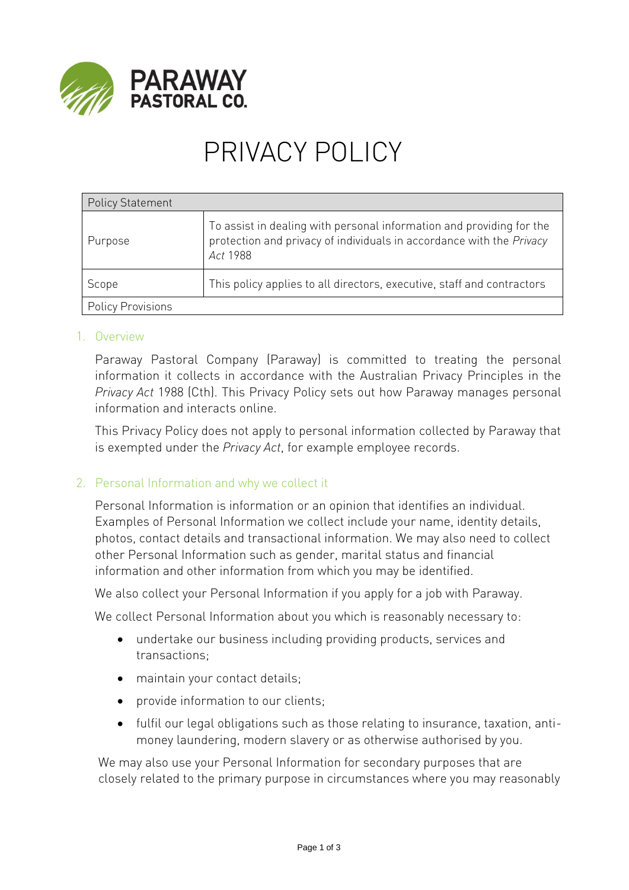

# PRIVACY POLICY

| <b>Policy Statement</b>  |                                                                                                                                                          |
|--------------------------|----------------------------------------------------------------------------------------------------------------------------------------------------------|
| Purpose                  | To assist in dealing with personal information and providing for the<br>protection and privacy of individuals in accordance with the Privacy<br>Act 1988 |
| Scope                    | This policy applies to all directors, executive, staff and contractors                                                                                   |
| <b>Policy Provisions</b> |                                                                                                                                                          |

### 1. Overview

Paraway Pastoral Company (Paraway) is committed to treating the personal information it collects in accordance with the Australian Privacy Principles in the *Privacy Act* 1988 (Cth). This Privacy Policy sets out how Paraway manages personal information and interacts online.

This Privacy Policy does not apply to personal information collected by Paraway that is exempted under the *Privacy Act*, for example employee records.

# 2. Personal Information and why we collect it

Personal Information is information or an opinion that identifies an individual. Examples of Personal Information we collect include your name, identity details, photos, contact details and transactional information. We may also need to collect other Personal Information such as gender, marital status and financial information and other information from which you may be identified.

We also collect your Personal Information if you apply for a job with Paraway.

We collect Personal Information about you which is reasonably necessary to:

- undertake our business including providing products, services and transactions;
- maintain your contact details;
- provide information to our clients;
- fulfil our legal obligations such as those relating to insurance, taxation, antimoney laundering, modern slavery or as otherwise authorised by you.

We may also use your Personal Information for secondary purposes that are closely related to the primary purpose in circumstances where you may reasonably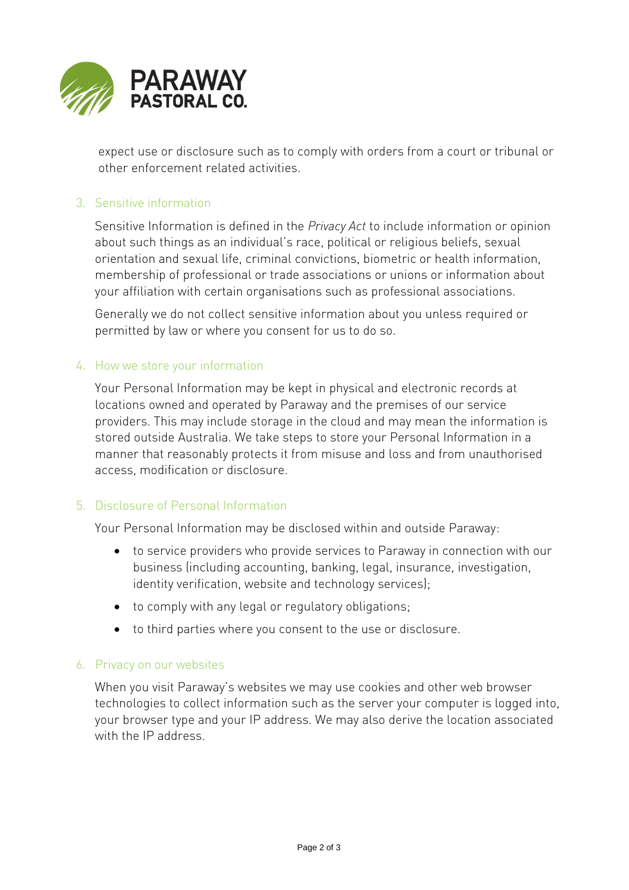

expect use or disclosure such as to comply with orders from a court or tribunal or other enforcement related activities.

## 3. Sensitive information

Sensitive Information is defined in the *Privacy Act* to include information or opinion about such things as an individual's race, political or religious beliefs, sexual orientation and sexual life, criminal convictions, biometric or health information, membership of professional or trade associations or unions or information about your affiliation with certain organisations such as professional associations.

Generally we do not collect sensitive information about you unless required or permitted by law or where you consent for us to do so.

#### 4. How we store your information

Your Personal Information may be kept in physical and electronic records at locations owned and operated by Paraway and the premises of our service providers. This may include storage in the cloud and may mean the information is stored outside Australia. We take steps to store your Personal Information in a manner that reasonably protects it from misuse and loss and from unauthorised access, modification or disclosure.

#### 5. Disclosure of Personal Information

Your Personal Information may be disclosed within and outside Paraway:

- to service providers who provide services to Paraway in connection with our business (including accounting, banking, legal, insurance, investigation, identity verification, website and technology services);
- to comply with any legal or regulatory obligations;
- to third parties where you consent to the use or disclosure.

#### 6. Privacy on our websites

When you visit Paraway's websites we may use cookies and other web browser technologies to collect information such as the server your computer is logged into, your browser type and your IP address. We may also derive the location associated with the IP address.